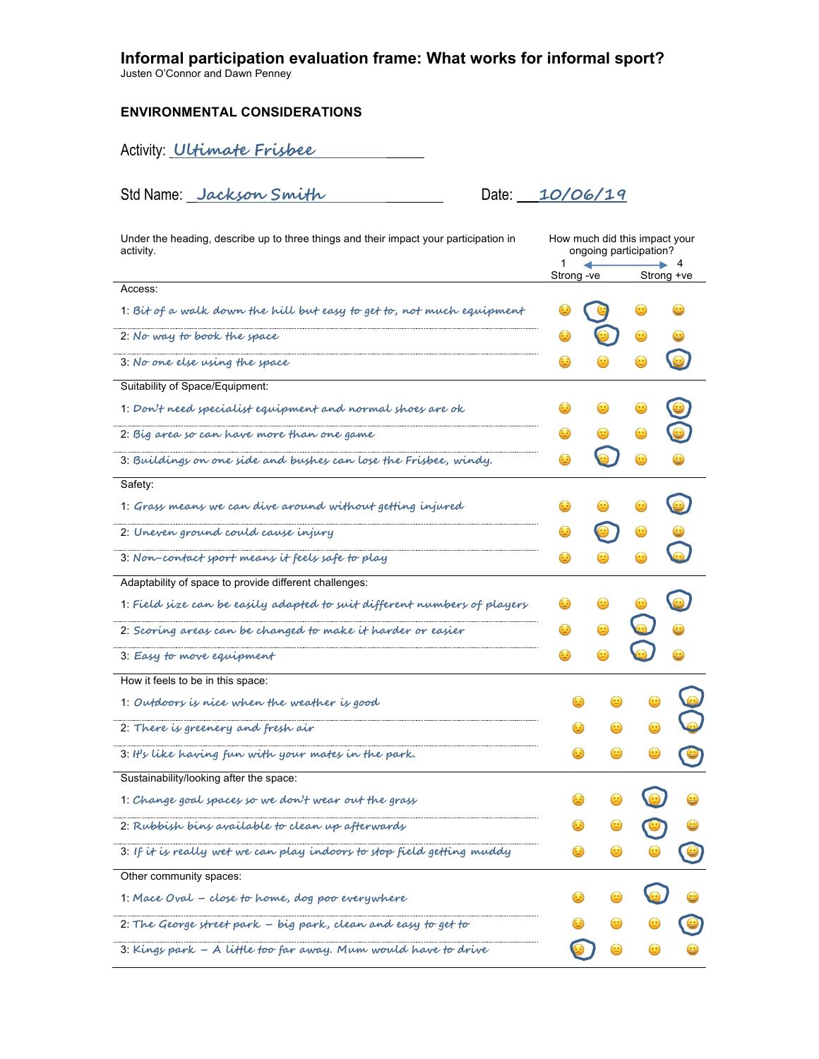## **Informal participation evaluation frame: What works for informal sport?**

Justen O'Connor and Dawn Penney

### **ENVIRONMENTAL CONSIDERATIONS**

Activity: **Ultimate Frisbee**

Std Name: **Jackson Smith** Date: **10/06/19**

| Under the heading, describe up to three things and their impact your participation in<br>activity. | How much did this impact your<br>ongoing participation? |            |                  |  |
|----------------------------------------------------------------------------------------------------|---------------------------------------------------------|------------|------------------|--|
|                                                                                                    | 1<br>Strong -ve                                         |            | -4<br>Strong +ve |  |
| Access:                                                                                            |                                                         |            |                  |  |
| 1. Bit of a walk down the hill but easy to get to, not much equipment                              |                                                         |            |                  |  |
| 2: No way to book the space                                                                        |                                                         |            | $\bm \omega$     |  |
| 3: No one else using the space                                                                     | ٠                                                       |            |                  |  |
| Suitability of Space/Equipment:                                                                    |                                                         |            |                  |  |
| 1. Don't need specialist equipment and normal shoes are ok                                         |                                                         |            |                  |  |
| 2: Big area so can have more than one game                                                         |                                                         |            |                  |  |
| 3. Buildings on one side and bushes can lose the Frisbee, windy.                                   |                                                         |            | $\odot$          |  |
| Safety:                                                                                            |                                                         |            |                  |  |
| 1. Grass means we can dive around without getting injured                                          | Œ                                                       |            |                  |  |
| 2: Uneven ground could cause injury                                                                |                                                         |            |                  |  |
| 3. Non-contact sport means it feels safe to play                                                   | $\ddot{\boldsymbol{\epsilon}}$                          |            |                  |  |
| Adaptability of space to provide different challenges:                                             |                                                         |            |                  |  |
| 1. Field size can be easily adapted to suit different numbers of players                           |                                                         |            |                  |  |
| 2. Scoring areas can be changed to make it harder or easier                                        | ٤                                                       |            |                  |  |
| 3. Easy to move equipment                                                                          | ٤                                                       |            |                  |  |
| How it feels to be in this space:                                                                  |                                                         |            |                  |  |
| 1. Outdoors is nice when the weather is good                                                       | ٠                                                       | $(\pm)$    |                  |  |
| 2: There is greenery and fresh air                                                                 | ٤                                                       | $\bigcirc$ |                  |  |
| 3. It's like having fun with your mates in the park.                                               | ٠                                                       |            |                  |  |
| Sustainability/looking after the space:                                                            |                                                         |            |                  |  |
| 1. Change goal spaces so we don't wear out the grass                                               |                                                         |            |                  |  |
| 2. Rubbish bins available to clean up afterwards                                                   |                                                         |            |                  |  |
| 3. If it is really wet we can play indoors to stop field getting muddy                             |                                                         |            |                  |  |
| Other community spaces:                                                                            |                                                         |            |                  |  |
| 1. Mace Oval - close to home, dog poo everywhere                                                   |                                                         |            |                  |  |
| 2. The George street park - big park, clean and easy to get to                                     |                                                         |            |                  |  |
| 3. Kings park $-$ A little too far away. Mum would have to drive                                   |                                                         |            |                  |  |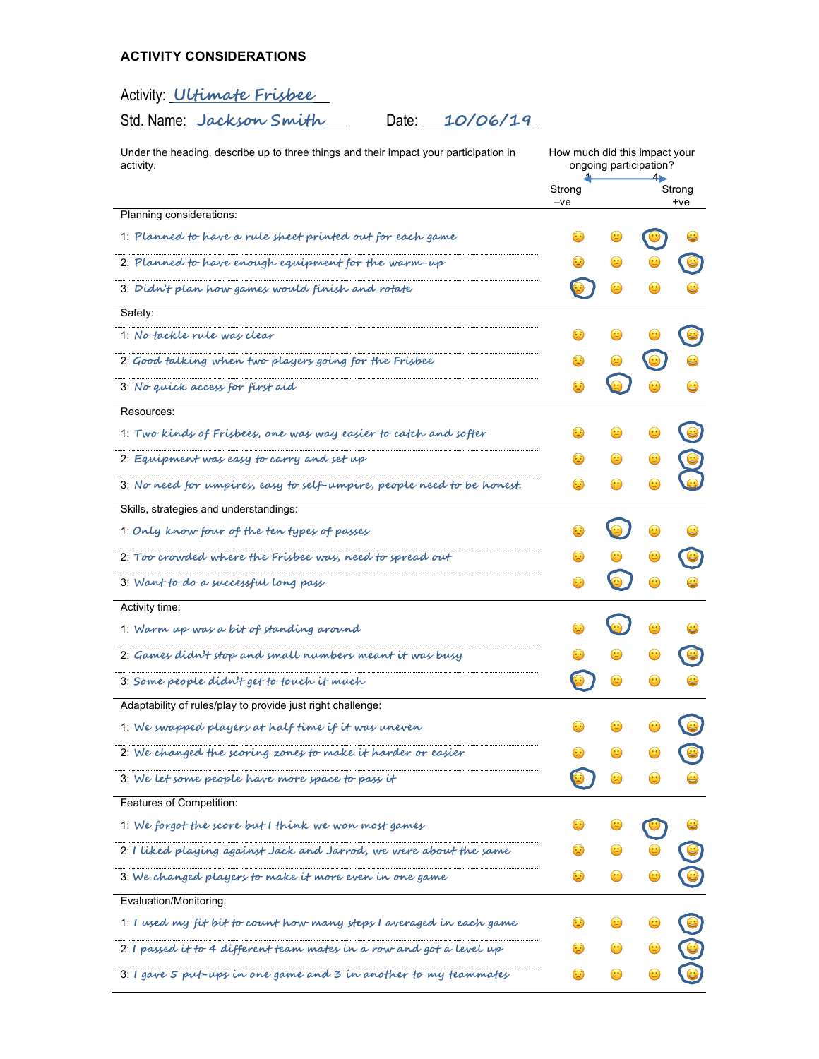# **ACTIVITY CONSIDERATIONS**

# Activity: **Ultimate Frisbee**

Std. Name: **Jackson Smith** Date: **10/06/19**

| Under the heading, describe up to three things and their impact your participation in<br>activity. | How much did this impact your<br>ongoing participation? |   |                 |  |
|----------------------------------------------------------------------------------------------------|---------------------------------------------------------|---|-----------------|--|
|                                                                                                    | Strong<br>-ve                                           |   | Strong<br>$+ve$ |  |
| Planning considerations:                                                                           |                                                         |   |                 |  |
| 1. Planned to have a rule sheet printed out for each game                                          |                                                         |   |                 |  |
| 2. Planned to have enough equipment for the warm-up                                                |                                                         |   |                 |  |
| 3. Didn't plan how games would finish and rotate                                                   |                                                         |   |                 |  |
| Safety:                                                                                            |                                                         |   |                 |  |
| 1. No tackle rule was clear                                                                        |                                                         |   |                 |  |
| 2: Good talking when two players going for the Frisbee                                             | ٤                                                       |   |                 |  |
| 3: No quick access for first aid                                                                   | ٨                                                       |   |                 |  |
| Resources:                                                                                         |                                                         |   |                 |  |
| 1. Two kinds of Frisbees, one was way easier to catch and softer                                   | $\bullet$                                               |   |                 |  |
| 2. Equipment was easy to carry and set up                                                          | ٤                                                       |   |                 |  |
| 3. No need for umpires, easy to self-umpire, people need to be honest.                             |                                                         |   |                 |  |
| Skills, strategies and understandings:                                                             |                                                         |   |                 |  |
| 1. Only know four of the ten types of passes                                                       |                                                         |   |                 |  |
| 2. Too crowded where the Frisbee was, need to spread out                                           | $\odot$                                                 |   |                 |  |
| 3. Want to do a successful long pass                                                               | $\omega$                                                |   | $\bf \omega$    |  |
| Activity time:                                                                                     |                                                         |   |                 |  |
| 1. Warm up was a bit of standing around                                                            |                                                         |   |                 |  |
| 2: Games didn't stop and small numbers meant it was busy                                           |                                                         |   |                 |  |
| 3. Some people didn't get to touch it much                                                         |                                                         | ۳ |                 |  |
| Adaptability of rules/play to provide just right challenge:                                        |                                                         |   |                 |  |
| 1. We swapped players at half time if it was uneven                                                |                                                         |   |                 |  |
| 2: We changed the scoring zones to make it harder or easier                                        |                                                         |   |                 |  |
| 3. We let some people have more space to pass it                                                   |                                                         |   |                 |  |
| Features of Competition:                                                                           |                                                         |   |                 |  |
| 1. We forgot the score but I think we won most games                                               |                                                         |   |                 |  |
| 2: I liked playing against Jack and Jarrod, we were about the same                                 |                                                         |   |                 |  |
| 3: We changed players to make it more even in one game                                             |                                                         |   |                 |  |
| Evaluation/Monitoring:                                                                             |                                                         |   |                 |  |
| 1: I used my fit bit to count how many steps I averaged in each game                               |                                                         |   |                 |  |
| 2: I passed it to 4 different team mates in a row and got a level up                               |                                                         |   |                 |  |
| 3. I gave 5 put-ups in one game and 3 in another to my teammates                                   |                                                         |   |                 |  |
|                                                                                                    |                                                         |   |                 |  |